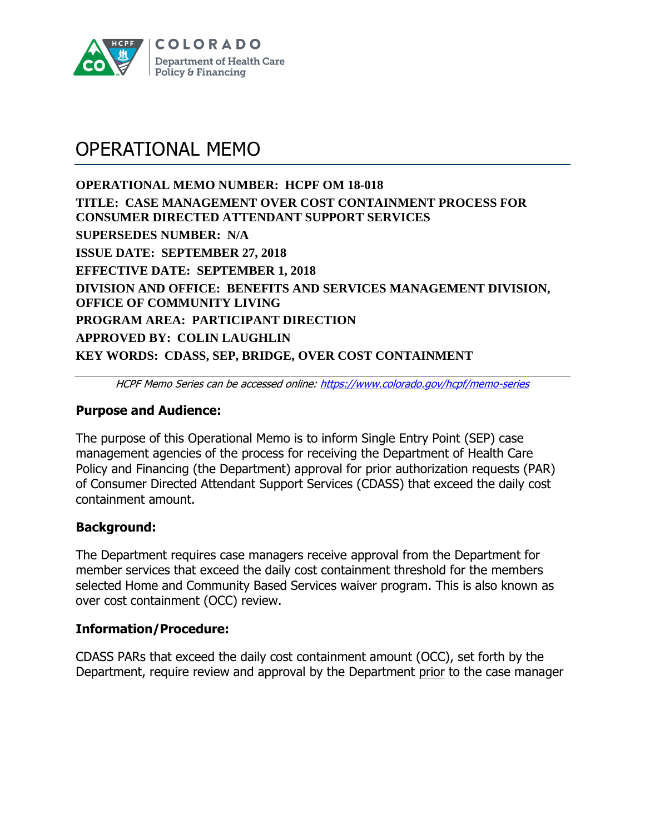

# OPERATIONAL MEMO

**OPERATIONAL MEMO NUMBER: HCPF OM 18-018 TITLE: CASE MANAGEMENT OVER COST CONTAINMENT PROCESS FOR CONSUMER DIRECTED ATTENDANT SUPPORT SERVICES SUPERSEDES NUMBER: N/A ISSUE DATE: SEPTEMBER 27, 2018 EFFECTIVE DATE: SEPTEMBER 1, 2018 DIVISION AND OFFICE: BENEFITS AND SERVICES MANAGEMENT DIVISION, OFFICE OF COMMUNITY LIVING PROGRAM AREA: PARTICIPANT DIRECTION APPROVED BY: COLIN LAUGHLIN KEY WORDS: CDASS, SEP, BRIDGE, OVER COST CONTAINMENT**

HCPF Memo Series can be accessed online:<https://www.colorado.gov/hcpf/memo-series>

### **Purpose and Audience:**

The purpose of this Operational Memo is to inform Single Entry Point (SEP) case management agencies of the process for receiving the Department of Health Care Policy and Financing (the Department) approval for prior authorization requests (PAR) of Consumer Directed Attendant Support Services (CDASS) that exceed the daily cost containment amount.

# **Background:**

The Department requires case managers receive approval from the Department for member services that exceed the daily cost containment threshold for the members selected Home and Community Based Services waiver program. This is also known as over cost containment (OCC) review.

#### **Information/Procedure:**

CDASS PARs that exceed the daily cost containment amount (OCC), set forth by the Department, require review and approval by the Department prior to the case manager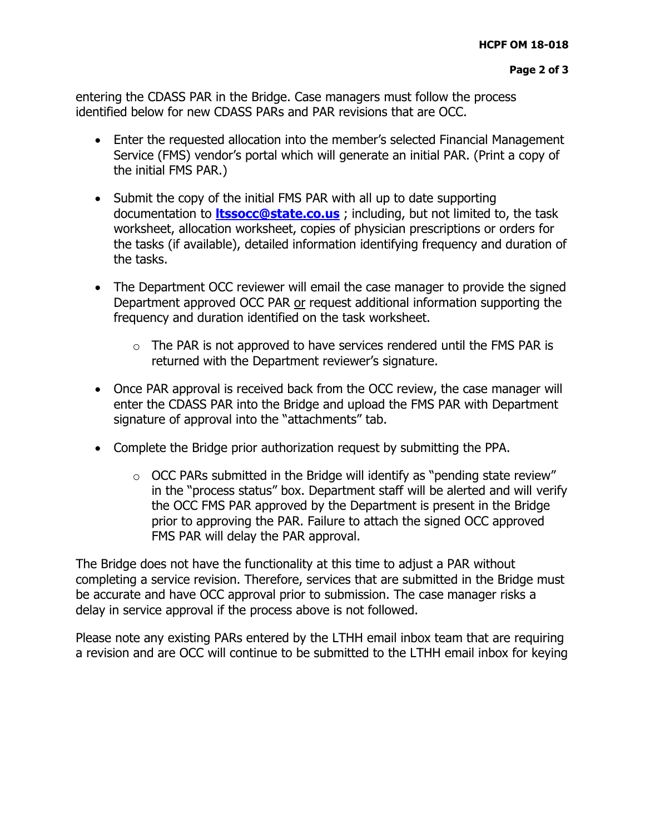entering the CDASS PAR in the Bridge. Case managers must follow the process identified below for new CDASS PARs and PAR revisions that are OCC.

- Enter the requested allocation into the member's selected Financial Management Service (FMS) vendor's portal which will generate an initial PAR. (Print a copy of the initial FMS PAR.)
- Submit the copy of the initial FMS PAR with all up to date supporting documentation to **[ltssocc@state.co.us](mailto:ltssocc@state.co.us)** ; including, but not limited to, the task worksheet, allocation worksheet, copies of physician prescriptions or orders for the tasks (if available), detailed information identifying frequency and duration of the tasks.
- The Department OCC reviewer will email the case manager to provide the signed Department approved OCC PAR or request additional information supporting the frequency and duration identified on the task worksheet.
	- $\circ$  The PAR is not approved to have services rendered until the FMS PAR is returned with the Department reviewer's signature.
- Once PAR approval is received back from the OCC review, the case manager will enter the CDASS PAR into the Bridge and upload the FMS PAR with Department signature of approval into the "attachments" tab.
- Complete the Bridge prior authorization request by submitting the PPA.
	- $\circ$  OCC PARs submitted in the Bridge will identify as "pending state review" in the "process status" box. Department staff will be alerted and will verify the OCC FMS PAR approved by the Department is present in the Bridge prior to approving the PAR. Failure to attach the signed OCC approved FMS PAR will delay the PAR approval.

The Bridge does not have the functionality at this time to adjust a PAR without completing a service revision. Therefore, services that are submitted in the Bridge must be accurate and have OCC approval prior to submission. The case manager risks a delay in service approval if the process above is not followed.

Please note any existing PARs entered by the LTHH email inbox team that are requiring a revision and are OCC will continue to be submitted to the LTHH email inbox for keying